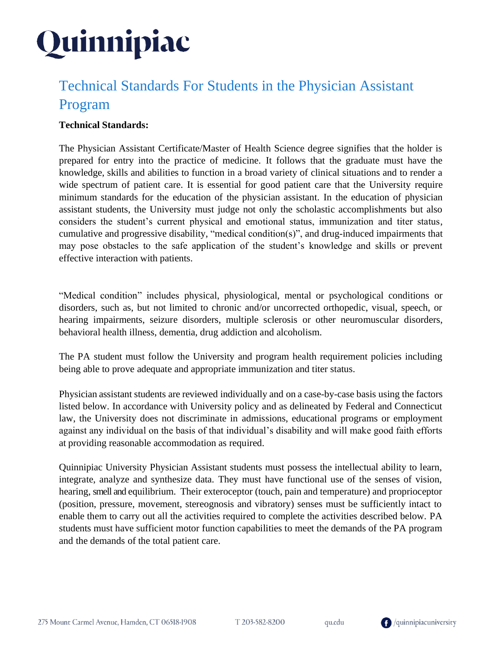### Technical Standards For Students in the Physician Assistant Program

### **Technical Standards:**

The Physician Assistant Certificate/Master of Health Science degree signifies that the holder is prepared for entry into the practice of medicine. It follows that the graduate must have the knowledge, skills and abilities to function in a broad variety of clinical situations and to render a wide spectrum of patient care. It is essential for good patient care that the University require minimum standards for the education of the physician assistant. In the education of physician assistant students, the University must judge not only the scholastic accomplishments but also considers the student's current physical and emotional status, immunization and titer status, cumulative and progressive disability, "medical condition(s)", and drug-induced impairments that may pose obstacles to the safe application of the student's knowledge and skills or prevent effective interaction with patients.

"Medical condition" includes physical, physiological, mental or psychological conditions or disorders, such as, but not limited to chronic and/or uncorrected orthopedic, visual, speech, or hearing impairments, seizure disorders, multiple sclerosis or other neuromuscular disorders, behavioral health illness, dementia, drug addiction and alcoholism.

The PA student must follow the University and program health requirement policies including being able to prove adequate and appropriate immunization and titer status.

Physician assistant students are reviewed individually and on a case-by-case basis using the factors listed below. In accordance with University policy and as delineated by Federal and Connecticut law, the University does not discriminate in admissions, educational programs or employment against any individual on the basis of that individual's disability and will make good faith efforts at providing reasonable accommodation as required.

Quinnipiac University Physician Assistant students must possess the intellectual ability to learn, integrate, analyze and synthesize data. They must have functional use of the senses of vision, hearing, smell and equilibrium. Their exteroceptor (touch, pain and temperature) and proprioceptor (position, pressure, movement, stereognosis and vibratory) senses must be sufficiently intact to enable them to carry out all the activities required to complete the activities described below. PA students must have sufficient motor function capabilities to meet the demands of the PA program and the demands of the total patient care.

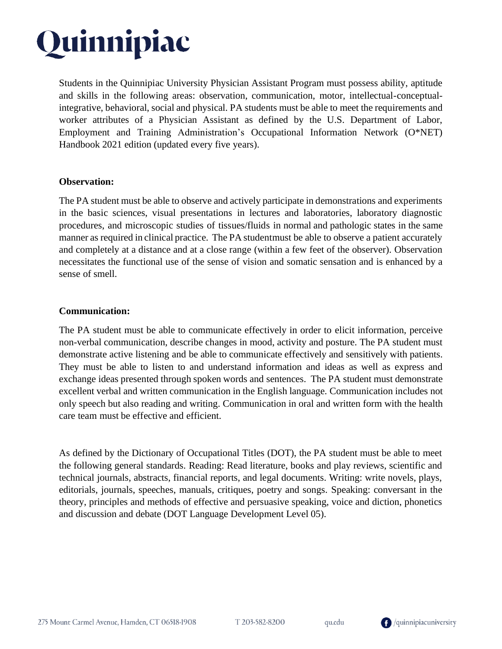Students in the Quinnipiac University Physician Assistant Program must possess ability, aptitude and skills in the following areas: observation, communication, motor, intellectual-conceptualintegrative, behavioral, social and physical. PA students must be able to meet the requirements and worker attributes of a Physician Assistant as defined by the U.S. Department of Labor, Employment and Training Administration's Occupational Information Network (O\*NET) Handbook 2021 edition (updated every five years).

#### **Observation:**

The PA student must be able to observe and actively participate in demonstrations and experiments in the basic sciences, visual presentations in lectures and laboratories, laboratory diagnostic procedures, and microscopic studies of tissues/fluids in normal and pathologic states in the same manner as required in clinical practice. The PA studentmust be able to observe a patient accurately and completely at a distance and at a close range (within a few feet of the observer). Observation necessitates the functional use of the sense of vision and somatic sensation and is enhanced by a sense of smell.

#### **Communication:**

The PA student must be able to communicate effectively in order to elicit information, perceive non-verbal communication, describe changes in mood, activity and posture. The PA student must demonstrate active listening and be able to communicate effectively and sensitively with patients. They must be able to listen to and understand information and ideas as well as express and exchange ideas presented through spoken words and sentences. The PA student must demonstrate excellent verbal and written communication in the English language. Communication includes not only speech but also reading and writing. Communication in oral and written form with the health care team must be effective and efficient.

As defined by the Dictionary of Occupational Titles (DOT), the PA student must be able to meet the following general standards. Reading: Read literature, books and play reviews, scientific and technical journals, abstracts, financial reports, and legal documents. Writing: write novels, plays, editorials, journals, speeches, manuals, critiques, poetry and songs. Speaking: conversant in the theory, principles and methods of effective and persuasive speaking, voice and diction, phonetics and discussion and debate (DOT Language Development Level 05).

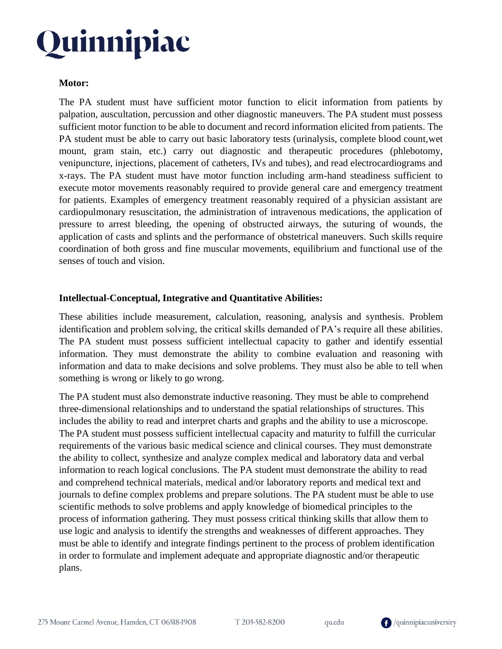#### **Motor:**

The PA student must have sufficient motor function to elicit information from patients by palpation, auscultation, percussion and other diagnostic maneuvers. The PA student must possess sufficient motor function to be able to document and record information elicited from patients. The PA student must be able to carry out basic laboratory tests (urinalysis, complete blood count,wet mount, gram stain, etc.) carry out diagnostic and therapeutic procedures (phlebotomy, venipuncture, injections, placement of catheters, IVs and tubes), and read electrocardiograms and x-rays. The PA student must have motor function including arm-hand steadiness sufficient to execute motor movements reasonably required to provide general care and emergency treatment for patients. Examples of emergency treatment reasonably required of a physician assistant are cardiopulmonary resuscitation, the administration of intravenous medications, the application of pressure to arrest bleeding, the opening of obstructed airways, the suturing of wounds, the application of casts and splints and the performance of obstetrical maneuvers. Such skills require coordination of both gross and fine muscular movements, equilibrium and functional use of the senses of touch and vision.

#### **Intellectual-Conceptual, Integrative and Quantitative Abilities:**

These abilities include measurement, calculation, reasoning, analysis and synthesis. Problem identification and problem solving, the critical skills demanded of PA's require all these abilities. The PA student must possess sufficient intellectual capacity to gather and identify essential information. They must demonstrate the ability to combine evaluation and reasoning with information and data to make decisions and solve problems. They must also be able to tell when something is wrong or likely to go wrong.

The PA student must also demonstrate inductive reasoning. They must be able to comprehend three-dimensional relationships and to understand the spatial relationships of structures. This includes the ability to read and interpret charts and graphs and the ability to use a microscope. The PA student must possess sufficient intellectual capacity and maturity to fulfill the curricular requirements of the various basic medical science and clinical courses. They must demonstrate the ability to collect, synthesize and analyze complex medical and laboratory data and verbal information to reach logical conclusions. The PA student must demonstrate the ability to read and comprehend technical materials, medical and/or laboratory reports and medical text and journals to define complex problems and prepare solutions. The PA student must be able to use scientific methods to solve problems and apply knowledge of biomedical principles to the process of information gathering. They must possess critical thinking skills that allow them to use logic and analysis to identify the strengths and weaknesses of different approaches. They must be able to identify and integrate findings pertinent to the process of problem identification in order to formulate and implement adequate and appropriate diagnostic and/or therapeutic plans.

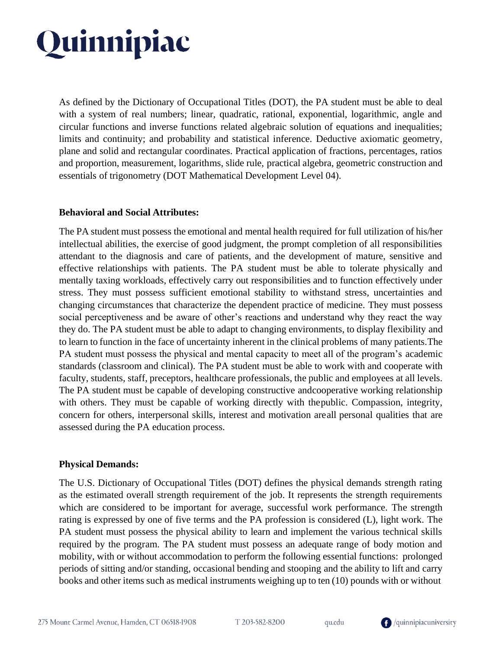As defined by the Dictionary of Occupational Titles (DOT), the PA student must be able to deal with a system of real numbers; linear, quadratic, rational, exponential, logarithmic, angle and circular functions and inverse functions related algebraic solution of equations and inequalities; limits and continuity; and probability and statistical inference. Deductive axiomatic geometry, plane and solid and rectangular coordinates. Practical application of fractions, percentages, ratios and proportion, measurement, logarithms, slide rule, practical algebra, geometric construction and essentials of trigonometry (DOT Mathematical Development Level 04).

#### **Behavioral and Social Attributes:**

The PA student must possess the emotional and mental health required for full utilization of his/her intellectual abilities, the exercise of good judgment, the prompt completion of all responsibilities attendant to the diagnosis and care of patients, and the development of mature, sensitive and effective relationships with patients. The PA student must be able to tolerate physically and mentally taxing workloads, effectively carry out responsibilities and to function effectively under stress. They must possess sufficient emotional stability to withstand stress, uncertainties and changing circumstances that characterize the dependent practice of medicine. They must possess social perceptiveness and be aware of other's reactions and understand why they react the way they do. The PA student must be able to adapt to changing environments, to display flexibility and to learn to function in the face of uncertainty inherent in the clinical problems of many patients.The PA student must possess the physical and mental capacity to meet all of the program's academic standards (classroom and clinical). The PA student must be able to work with and cooperate with faculty, students, staff, preceptors, healthcare professionals, the public and employees at all levels. The PA student must be capable of developing constructive andcooperative working relationship with others. They must be capable of working directly with thepublic. Compassion, integrity, concern for others, interpersonal skills, interest and motivation areall personal qualities that are assessed during the PA education process.

#### **Physical Demands:**

The U.S. Dictionary of Occupational Titles (DOT) defines the physical demands strength rating as the estimated overall strength requirement of the job. It represents the strength requirements which are considered to be important for average, successful work performance. The strength rating is expressed by one of five terms and the PA profession is considered (L), light work. The PA student must possess the physical ability to learn and implement the various technical skills required by the program. The PA student must possess an adequate range of body motion and mobility, with or without accommodation to perform the following essential functions: prolonged periods of sitting and/or standing, occasional bending and stooping and the ability to lift and carry books and other items such as medical instruments weighing up to ten (10) pounds with or without